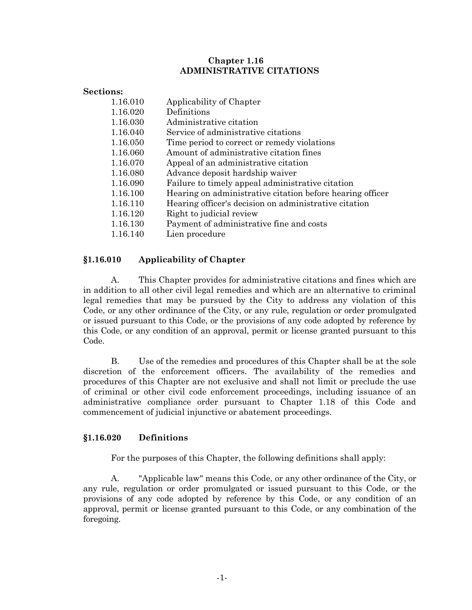## **Chapter 1.16 ADMINISTRATIVE CITATIONS**

| Sections: |                                                           |
|-----------|-----------------------------------------------------------|
| 1.16.010  | Applicability of Chapter                                  |
| 1.16.020  | Definitions                                               |
| 1.16.030  | Administrative citation                                   |
| 1.16.040  | Service of administrative citations                       |
| 1.16.050  | Time period to correct or remedy violations               |
| 1.16.060  | Amount of administrative citation fines                   |
| 1.16.070  | Appeal of an administrative citation                      |
| 1.16.080  | Advance deposit hardship waiver                           |
| 1.16.090  | Failure to timely appeal administrative citation          |
| 1.16.100  | Hearing on administrative citation before hearing officer |
| 1.16.110  | Hearing officer's decision on administrative citation     |
| 1.16.120  | Right to judicial review                                  |
| 1.16.130  | Payment of administrative fine and costs                  |
| 1.16.140  | Lien procedure                                            |

# **§1.16.010 Applicability of Chapter**

A. This Chapter provides for administrative citations and fines which are in addition to all other civil legal remedies and which are an alternative to criminal legal remedies that may be pursued by the City to address any violation of this Code, or any other ordinance of the City, or any rule, regulation or order promulgated or issued pursuant to this Code, or the provisions of any code adopted by reference by this Code, or any condition of an approval, permit or license granted pursuant to this Code.

B. Use of the remedies and procedures of this Chapter shall be at the sole discretion of the enforcement officers. The availability of the remedies and procedures of this Chapter are not exclusive and shall not limit or preclude the use of criminal or other civil code enforcement proceedings, including issuance of an administrative compliance order pursuant to Chapter 1.18 of this Code and commencement of judicial injunctive or abatement proceedings.

# **§1.16.020 Definitions**

For the purposes of this Chapter, the following definitions shall apply:

A. "Applicable law" means this Code, or any other ordinance of the City, or any rule, regulation or order promulgated or issued pursuant to this Code, or the provisions of any code adopted by reference by this Code, or any condition of an approval, permit or license granted pursuant to this Code, or any combination of the foregoing.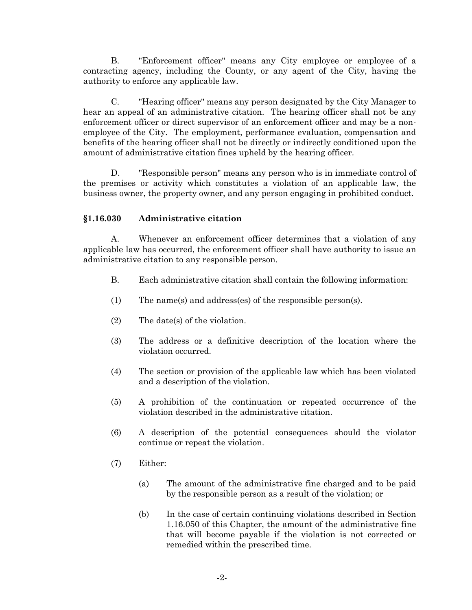B. "Enforcement officer" means any City employee or employee of a contracting agency, including the County, or any agent of the City, having the authority to enforce any applicable law.

C. "Hearing officer" means any person designated by the City Manager to hear an appeal of an administrative citation. The hearing officer shall not be any enforcement officer or direct supervisor of an enforcement officer and may be a nonemployee of the City. The employment, performance evaluation, compensation and benefits of the hearing officer shall not be directly or indirectly conditioned upon the amount of administrative citation fines upheld by the hearing officer.

D. "Responsible person" means any person who is in immediate control of the premises or activity which constitutes a violation of an applicable law, the business owner, the property owner, and any person engaging in prohibited conduct.

# **§1.16.030 Administrative citation**

A. Whenever an enforcement officer determines that a violation of any applicable law has occurred, the enforcement officer shall have authority to issue an administrative citation to any responsible person.

- B. Each administrative citation shall contain the following information:
- (1) The name(s) and address(es) of the responsible person(s).
- (2) The date(s) of the violation.
- (3) The address or a definitive description of the location where the violation occurred.
- (4) The section or provision of the applicable law which has been violated and a description of the violation.
- (5) A prohibition of the continuation or repeated occurrence of the violation described in the administrative citation.
- (6) A description of the potential consequences should the violator continue or repeat the violation.
- (7) Either:
	- (a) The amount of the administrative fine charged and to be paid by the responsible person as a result of the violation; or
	- (b) In the case of certain continuing violations described in Section 1.16.050 of this Chapter, the amount of the administrative fine that will become payable if the violation is not corrected or remedied within the prescribed time.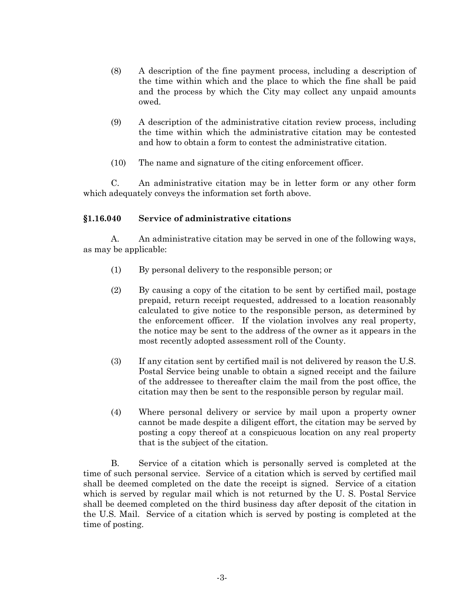- (8) A description of the fine payment process, including a description of the time within which and the place to which the fine shall be paid and the process by which the City may collect any unpaid amounts owed.
- (9) A description of the administrative citation review process, including the time within which the administrative citation may be contested and how to obtain a form to contest the administrative citation.
- (10) The name and signature of the citing enforcement officer.

C. An administrative citation may be in letter form or any other form which adequately conveys the information set forth above.

#### **§1.16.040 Service of administrative citations**

A. An administrative citation may be served in one of the following ways, as may be applicable:

- (1) By personal delivery to the responsible person; or
- (2) By causing a copy of the citation to be sent by certified mail, postage prepaid, return receipt requested, addressed to a location reasonably calculated to give notice to the responsible person, as determined by the enforcement officer. If the violation involves any real property, the notice may be sent to the address of the owner as it appears in the most recently adopted assessment roll of the County.
- (3) If any citation sent by certified mail is not delivered by reason the U.S. Postal Service being unable to obtain a signed receipt and the failure of the addressee to thereafter claim the mail from the post office, the citation may then be sent to the responsible person by regular mail.
- (4) Where personal delivery or service by mail upon a property owner cannot be made despite a diligent effort, the citation may be served by posting a copy thereof at a conspicuous location on any real property that is the subject of the citation.

B. Service of a citation which is personally served is completed at the time of such personal service. Service of a citation which is served by certified mail shall be deemed completed on the date the receipt is signed. Service of a citation which is served by regular mail which is not returned by the U. S. Postal Service shall be deemed completed on the third business day after deposit of the citation in the U.S. Mail. Service of a citation which is served by posting is completed at the time of posting.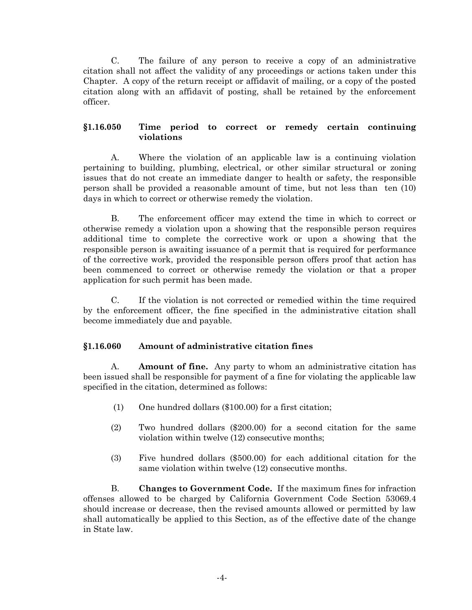C. The failure of any person to receive a copy of an administrative citation shall not affect the validity of any proceedings or actions taken under this Chapter. A copy of the return receipt or affidavit of mailing, or a copy of the posted citation along with an affidavit of posting, shall be retained by the enforcement officer.

# **§1.16.050 Time period to correct or remedy certain continuing violations**

A. Where the violation of an applicable law is a continuing violation pertaining to building, plumbing, electrical, or other similar structural or zoning issues that do not create an immediate danger to health or safety, the responsible person shall be provided a reasonable amount of time, but not less than ten (10) days in which to correct or otherwise remedy the violation.

B. The enforcement officer may extend the time in which to correct or otherwise remedy a violation upon a showing that the responsible person requires additional time to complete the corrective work or upon a showing that the responsible person is awaiting issuance of a permit that is required for performance of the corrective work, provided the responsible person offers proof that action has been commenced to correct or otherwise remedy the violation or that a proper application for such permit has been made.

C. If the violation is not corrected or remedied within the time required by the enforcement officer, the fine specified in the administrative citation shall become immediately due and payable.

# **§1.16.060 Amount of administrative citation fines**

A. **Amount of fine.** Any party to whom an administrative citation has been issued shall be responsible for payment of a fine for violating the applicable law specified in the citation, determined as follows:

- (1) One hundred dollars (\$100.00) for a first citation;
- (2) Two hundred dollars (\$200.00) for a second citation for the same violation within twelve (12) consecutive months;
- (3) Five hundred dollars (\$500.00) for each additional citation for the same violation within twelve (12) consecutive months.

B. **Changes to Government Code.** If the maximum fines for infraction offenses allowed to be charged by California Government Code Section 53069.4 should increase or decrease, then the revised amounts allowed or permitted by law shall automatically be applied to this Section, as of the effective date of the change in State law.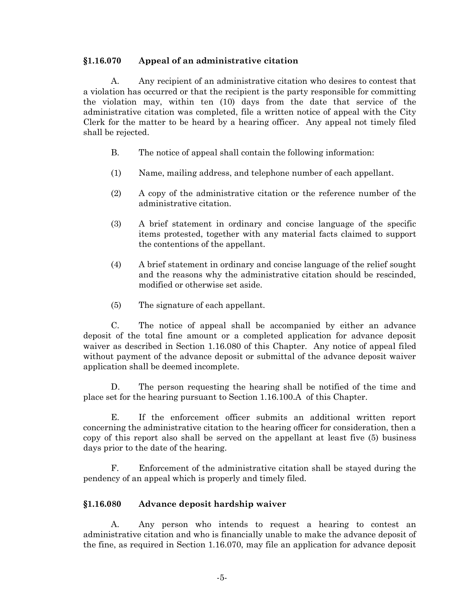#### **§1.16.070 Appeal of an administrative citation**

A. Any recipient of an administrative citation who desires to contest that a violation has occurred or that the recipient is the party responsible for committing the violation may, within ten (10) days from the date that service of the administrative citation was completed, file a written notice of appeal with the City Clerk for the matter to be heard by a hearing officer. Any appeal not timely filed shall be rejected.

- B. The notice of appeal shall contain the following information:
- (1) Name, mailing address, and telephone number of each appellant.
- (2) A copy of the administrative citation or the reference number of the administrative citation.
- (3) A brief statement in ordinary and concise language of the specific items protested, together with any material facts claimed to support the contentions of the appellant.
- (4) A brief statement in ordinary and concise language of the relief sought and the reasons why the administrative citation should be rescinded, modified or otherwise set aside.
- (5) The signature of each appellant.

C. The notice of appeal shall be accompanied by either an advance deposit of the total fine amount or a completed application for advance deposit waiver as described in Section 1.16.080 of this Chapter. Any notice of appeal filed without payment of the advance deposit or submittal of the advance deposit waiver application shall be deemed incomplete.

D. The person requesting the hearing shall be notified of the time and place set for the hearing pursuant to Section 1.16.100.A of this Chapter.

E. If the enforcement officer submits an additional written report concerning the administrative citation to the hearing officer for consideration, then a copy of this report also shall be served on the appellant at least five (5) business days prior to the date of the hearing.

F. Enforcement of the administrative citation shall be stayed during the pendency of an appeal which is properly and timely filed.

# **§1.16.080 Advance deposit hardship waiver**

A. Any person who intends to request a hearing to contest an administrative citation and who is financially unable to make the advance deposit of the fine, as required in Section 1.16.070, may file an application for advance deposit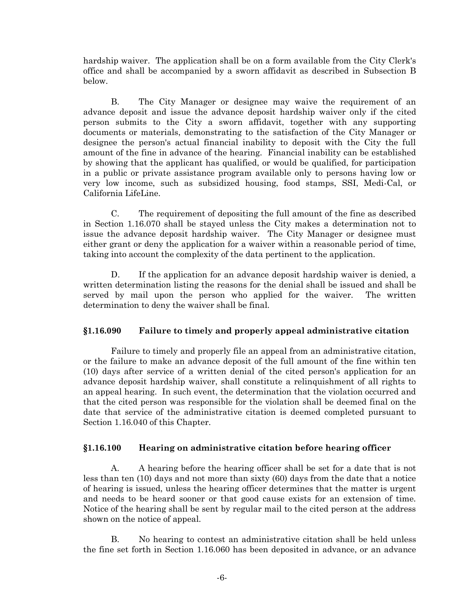hardship waiver. The application shall be on a form available from the City Clerk's office and shall be accompanied by a sworn affidavit as described in Subsection B below.

B. The City Manager or designee may waive the requirement of an advance deposit and issue the advance deposit hardship waiver only if the cited person submits to the City a sworn affidavit, together with any supporting documents or materials, demonstrating to the satisfaction of the City Manager or designee the person's actual financial inability to deposit with the City the full amount of the fine in advance of the hearing. Financial inability can be established by showing that the applicant has qualified, or would be qualified, for participation in a public or private assistance program available only to persons having low or very low income, such as subsidized housing, food stamps, SSI, Medi-Cal, or California LifeLine.

C. The requirement of depositing the full amount of the fine as described in Section 1.16.070 shall be stayed unless the City makes a determination not to issue the advance deposit hardship waiver. The City Manager or designee must either grant or deny the application for a waiver within a reasonable period of time, taking into account the complexity of the data pertinent to the application.

D. If the application for an advance deposit hardship waiver is denied, a written determination listing the reasons for the denial shall be issued and shall be served by mail upon the person who applied for the waiver. The written determination to deny the waiver shall be final.

# **§1.16.090 Failure to timely and properly appeal administrative citation**

Failure to timely and properly file an appeal from an administrative citation, or the failure to make an advance deposit of the full amount of the fine within ten (10) days after service of a written denial of the cited person's application for an advance deposit hardship waiver, shall constitute a relinquishment of all rights to an appeal hearing. In such event, the determination that the violation occurred and that the cited person was responsible for the violation shall be deemed final on the date that service of the administrative citation is deemed completed pursuant to Section 1.16.040 of this Chapter.

# **§1.16.100 Hearing on administrative citation before hearing officer**

A. A hearing before the hearing officer shall be set for a date that is not less than ten (10) days and not more than sixty (60) days from the date that a notice of hearing is issued, unless the hearing officer determines that the matter is urgent and needs to be heard sooner or that good cause exists for an extension of time. Notice of the hearing shall be sent by regular mail to the cited person at the address shown on the notice of appeal.

B. No hearing to contest an administrative citation shall be held unless the fine set forth in Section 1.16.060 has been deposited in advance, or an advance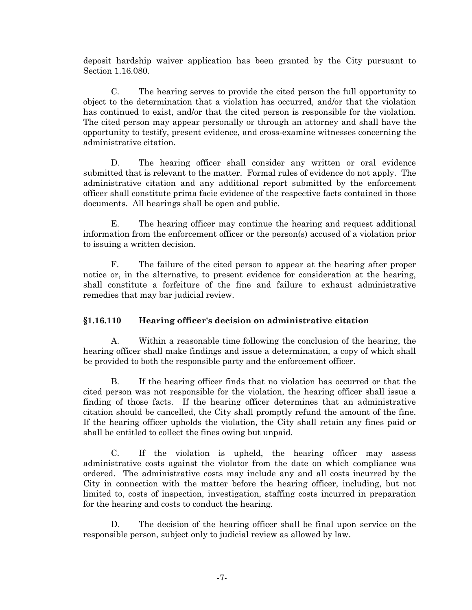deposit hardship waiver application has been granted by the City pursuant to Section 1.16.080.

C. The hearing serves to provide the cited person the full opportunity to object to the determination that a violation has occurred, and/or that the violation has continued to exist, and/or that the cited person is responsible for the violation. The cited person may appear personally or through an attorney and shall have the opportunity to testify, present evidence, and cross-examine witnesses concerning the administrative citation.

D. The hearing officer shall consider any written or oral evidence submitted that is relevant to the matter. Formal rules of evidence do not apply. The administrative citation and any additional report submitted by the enforcement officer shall constitute prima facie evidence of the respective facts contained in those documents. All hearings shall be open and public.

E. The hearing officer may continue the hearing and request additional information from the enforcement officer or the person(s) accused of a violation prior to issuing a written decision.

F. The failure of the cited person to appear at the hearing after proper notice or, in the alternative, to present evidence for consideration at the hearing, shall constitute a forfeiture of the fine and failure to exhaust administrative remedies that may bar judicial review.

# **§1.16.110 Hearing officer's decision on administrative citation**

A. Within a reasonable time following the conclusion of the hearing, the hearing officer shall make findings and issue a determination, a copy of which shall be provided to both the responsible party and the enforcement officer.

B. If the hearing officer finds that no violation has occurred or that the cited person was not responsible for the violation, the hearing officer shall issue a finding of those facts. If the hearing officer determines that an administrative citation should be cancelled, the City shall promptly refund the amount of the fine. If the hearing officer upholds the violation, the City shall retain any fines paid or shall be entitled to collect the fines owing but unpaid.

C. If the violation is upheld, the hearing officer may assess administrative costs against the violator from the date on which compliance was ordered. The administrative costs may include any and all costs incurred by the City in connection with the matter before the hearing officer, including, but not limited to, costs of inspection, investigation, staffing costs incurred in preparation for the hearing and costs to conduct the hearing.

D. The decision of the hearing officer shall be final upon service on the responsible person, subject only to judicial review as allowed by law.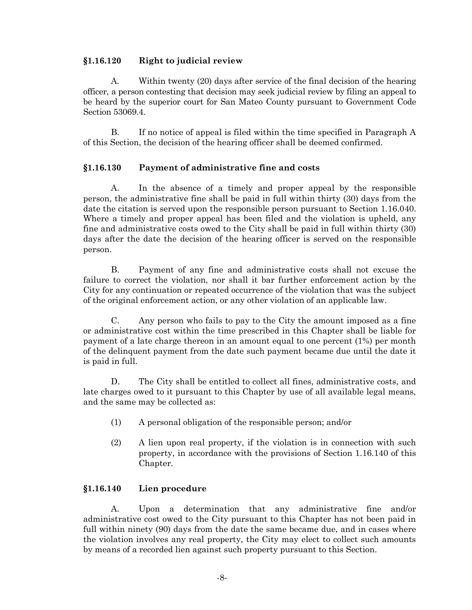#### **§1.16.120 Right to judicial review**

A. Within twenty (20) days after service of the final decision of the hearing officer, a person contesting that decision may seek judicial review by filing an appeal to be heard by the superior court for San Mateo County pursuant to Government Code Section 53069.4.

B. If no notice of appeal is filed within the time specified in Paragraph A of this Section, the decision of the hearing officer shall be deemed confirmed.

# **§1.16.130 Payment of administrative fine and costs**

A. In the absence of a timely and proper appeal by the responsible person, the administrative fine shall be paid in full within thirty (30) days from the date the citation is served upon the responsible person pursuant to Section 1.16.040. Where a timely and proper appeal has been filed and the violation is upheld, any fine and administrative costs owed to the City shall be paid in full within thirty (30) days after the date the decision of the hearing officer is served on the responsible person.

B. Payment of any fine and administrative costs shall not excuse the failure to correct the violation, nor shall it bar further enforcement action by the City for any continuation or repeated occurrence of the violation that was the subject of the original enforcement action, or any other violation of an applicable law.

C. Any person who fails to pay to the City the amount imposed as a fine or administrative cost within the time prescribed in this Chapter shall be liable for payment of a late charge thereon in an amount equal to one percent (1%) per month of the delinquent payment from the date such payment became due until the date it is paid in full.

D. The City shall be entitled to collect all fines, administrative costs, and late charges owed to it pursuant to this Chapter by use of all available legal means, and the same may be collected as:

- (1) A personal obligation of the responsible person; and/or
- (2) A lien upon real property, if the violation is in connection with such property, in accordance with the provisions of Section 1.16.140 of this Chapter.

# **§1.16.140 Lien procedure**

A. Upon a determination that any administrative fine and/or administrative cost owed to the City pursuant to this Chapter has not been paid in full within ninety (90) days from the date the same became due, and in cases where the violation involves any real property, the City may elect to collect such amounts by means of a recorded lien against such property pursuant to this Section.